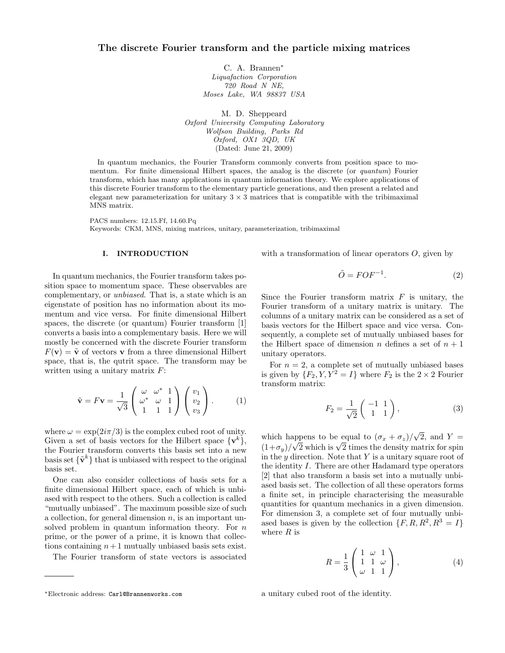C. A. Brannen<sup>∗</sup> Liquafaction Corporation 720 Road N NE, Moses Lake, WA 98837 USA

M. D. Sheppeard Oxford University Computing Laboratory Wolfson Building, Parks Rd Oxford, OX1 3QD, UK (Dated: June 21, 2009)

In quantum mechanics, the Fourier Transform commonly converts from position space to momentum. For finite dimensional Hilbert spaces, the analog is the discrete (or quantum) Fourier transform, which has many applications in quantum information theory. We explore applications of this discrete Fourier transform to the elementary particle generations, and then present a related and elegant new parameterization for unitary  $3 \times 3$  matrices that is compatible with the tribimaximal MNS matrix.

PACS numbers: 12.15.Ff, 14.60.Pq Keywords: CKM, MNS, mixing matrices, unitary, parameterization, tribimaximal

### I. INTRODUCTION

In quantum mechanics, the Fourier transform takes position space to momentum space. These observables are complementary, or unbiased. That is, a state which is an eigenstate of position has no information about its momentum and vice versa. For finite dimensional Hilbert spaces, the discrete (or quantum) Fourier transform [1] converts a basis into a complementary basis. Here we will mostly be concerned with the discrete Fourier transform  $F(\mathbf{v}) = \tilde{\mathbf{v}}$  of vectors **v** from a three dimensional Hilbert space, that is, the qutrit space. The transform may be written using a unitary matrix  $F$ :

$$
\tilde{\mathbf{v}} = F\mathbf{v} = \frac{1}{\sqrt{3}} \begin{pmatrix} \omega & \omega^* & 1 \\ \omega^* & \omega & 1 \\ 1 & 1 & 1 \end{pmatrix} \begin{pmatrix} v_1 \\ v_2 \\ v_3 \end{pmatrix} . \tag{1}
$$

where  $\omega = \exp(2i\pi/3)$  is the complex cubed root of unity. Given a set of basis vectors for the Hilbert space  $\{v^k\},\$ the Fourier transform converts this basis set into a new basis set  $\{\tilde{\mathbf{v}}^k\}$  that is unbiased with respect to the original basis set.

One can also consider collections of basis sets for a finite dimensional Hilbert space, each of which is unbiased with respect to the others. Such a collection is called "mutually unbiased". The maximum possible size of such a collection, for general dimension  $n$ , is an important unsolved problem in quantum information theory. For  $n$ prime, or the power of a prime, it is known that collections containing  $n+1$  mutually unbiased basis sets exist.

The Fourier transform of state vectors is associated

with a transformation of linear operators  $O$ , given by

$$
\tilde{O} = FOF^{-1}.
$$
\n(2)

Since the Fourier transform matrix  $F$  is unitary, the Fourier transform of a unitary matrix is unitary. The columns of a unitary matrix can be considered as a set of basis vectors for the Hilbert space and vice versa. Consequently, a complete set of mutually unbiased bases for the Hilbert space of dimension n defines a set of  $n + 1$ unitary operators.

For  $n = 2$ , a complete set of mutually unbiased bases is given by  $\{F_2, Y, Y^2 = I\}$  where  $F_2$  is the  $2 \times 2$  Fourier transform matrix:

$$
F_2 = \frac{1}{\sqrt{2}} \begin{pmatrix} -1 & 1\\ 1 & 1 \end{pmatrix},\tag{3}
$$

which happens to be equal to  $(\sigma_x + \sigma_z)$ √ appens to be equal to  $(\sigma_x + \sigma_z)/\sqrt{2}$ , and  $Y = \sqrt{\sigma_x^2 + \sigma_z^2}$ which happens to be equal to  $(\sigma_x + \sigma_z)/\sqrt{2}$ , and  $\vec{r} = (1+\sigma_y)/\sqrt{2}$  which is  $\sqrt{2}$  times the density matrix for spin in the  $y$  direction. Note that  $Y$  is a unitary square root of the identity I. There are other Hadamard type operators [2] that also transform a basis set into a mutually unbiased basis set. The collection of all these operators forms a finite set, in principle characterising the measurable quantities for quantum mechanics in a given dimension. For dimension 3, a complete set of four mutually unbiased bases is given by the collection  $\{F, R, R^2, R^3 = I\}$ where  $R$  is

$$
R = \frac{1}{3} \begin{pmatrix} 1 & \omega & 1 \\ 1 & 1 & \omega \\ \omega & 1 & 1 \end{pmatrix}, \tag{4}
$$

a unitary cubed root of the identity.

<sup>∗</sup>Electronic address: Carl@Brannenworks.com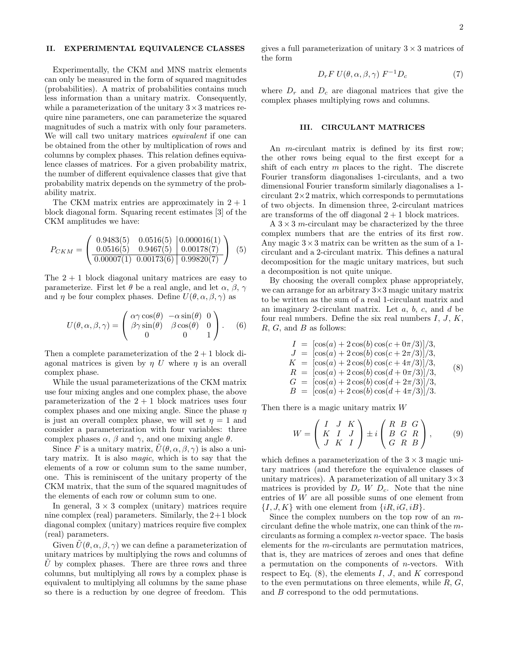### II. EXPERIMENTAL EQUIVALENCE CLASSES

Experimentally, the CKM and MNS matrix elements can only be measured in the form of squared magnitudes (probabilities). A matrix of probabilities contains much less information than a unitary matrix. Consequently, while a parameterization of the unitary  $3 \times 3$  matrices require nine parameters, one can parameterize the squared magnitudes of such a matrix with only four parameters. We will call two unitary matrices *equivalent* if one can be obtained from the other by multiplication of rows and columns by complex phases. This relation defines equivalence classes of matrices. For a given probability matrix, the number of different equivalence classes that give that probability matrix depends on the symmetry of the probability matrix.

The CKM matrix entries are approximately in  $2 + 1$ block diagonal form. Squaring recent estimates [3] of the CKM amplitudes we have:

$$
P_{CKM} = \begin{pmatrix} 0.9483(5) & 0.0516(5) & 0.000016(1) \\ 0.0516(5) & 0.9467(5) & 0.00178(7) \\ \hline 0.00007(1) & 0.00173(6) & 0.99820(7) \end{pmatrix} (5)
$$

The  $2 + 1$  block diagonal unitary matrices are easy to parameterize. First let  $\theta$  be a real angle, and let  $\alpha$ ,  $\beta$ ,  $\gamma$ and  $\eta$  be four complex phases. Define  $U(\theta, \alpha, \beta, \gamma)$  as

$$
U(\theta, \alpha, \beta, \gamma) = \begin{pmatrix} \alpha \gamma \cos(\theta) & -\alpha \sin(\theta) & 0 \\ \beta \gamma \sin(\theta) & \beta \cos(\theta) & 0 \\ 0 & 0 & 1 \end{pmatrix}.
$$
 (6)

Then a complete parameterization of the  $2 + 1$  block diagonal matrices is given by  $\eta$  U where  $\eta$  is an overall complex phase.

While the usual parameterizations of the CKM matrix use four mixing angles and one complex phase, the above parameterization of the  $2 + 1$  block matrices uses four complex phases and one mixing angle. Since the phase  $\eta$ is just an overall complex phase, we will set  $\eta = 1$  and consider a parameterization with four variables: three complex phases  $\alpha$ ,  $\beta$  and  $\gamma$ , and one mixing angle  $\theta$ .

Since F is a unitary matrix,  $\tilde{U}(\theta, \alpha, \beta, \gamma)$  is also a unitary matrix. It is also magic, which is to say that the elements of a row or column sum to the same number, one. This is reminiscent of the unitary property of the CKM matrix, that the sum of the squared magnitudes of the elements of each row or column sum to one.

In general,  $3 \times 3$  complex (unitary) matrices require nine complex (real) parameters. Similarly, the  $2+1$  block diagonal complex (unitary) matrices require five complex (real) parameters.

Given  $\tilde{U}(\theta, \alpha, \beta, \gamma)$  we can define a parameterization of unitary matrices by multiplying the rows and columns of U by complex phases. There are three rows and three columns, but multiplying all rows by a complex phase is equivalent to multiplying all columns by the same phase so there is a reduction by one degree of freedom. This

gives a full parameterization of unitary  $3 \times 3$  matrices of the form

$$
D_r F U(\theta, \alpha, \beta, \gamma) F^{-1} D_c \tag{7}
$$

where  $D_r$  and  $D_c$  are diagonal matrices that give the complex phases multiplying rows and columns.

# III. CIRCULANT MATRICES

An m-circulant matrix is defined by its first row; the other rows being equal to the first except for a shift of each entry m places to the right. The discrete Fourier transform diagonalises 1-circulants, and a two dimensional Fourier transform similarly diagonalises a 1 circulant  $2\times 2$  matrix, which corresponds to permutations of two objects. In dimension three, 2-circulant matrices are transforms of the off diagonal  $2 + 1$  block matrices.

A  $3 \times 3$  m-circulant may be characterized by the three complex numbers that are the entries of its first row. Any magic  $3 \times 3$  matrix can be written as the sum of a 1circulant and a 2-circulant matrix. This defines a natural decomposition for the magic unitary matrices, but such a decomposition is not quite unique.

By choosing the overall complex phase appropriately, we can arrange for an arbitrary 3×3 magic unitary matrix to be written as the sum of a real 1-circulant matrix and an imaginary 2-circulant matrix. Let  $a, b, c,$  and  $d$  be four real numbers. Define the six real numbers  $I, J, K$ ,  $R, G,$  and  $B$  as follows:

$$
I = [\cos(a) + 2\cos(b)\cos(c + 0\pi/3)]/3,J = [\cos(a) + 2\cos(b)\cos(c + 2\pi/3)]/3,K = [\cos(a) + 2\cos(b)\cos(c + 4\pi/3)]/3,R = [\cos(a) + 2\cos(b)\cos(d + 0\pi/3)]/3,G = [\cos(a) + 2\cos(b)\cos(d + 2\pi/3)]/3,B = [\cos(a) + 2\cos(b)\cos(d + 4\pi/3)]/3.
$$

Then there is a magic unitary matrix W

$$
W = \begin{pmatrix} I & J & K \\ K & I & J \\ J & K & I \end{pmatrix} \pm i \begin{pmatrix} R & B & G \\ B & G & R \\ G & R & B \end{pmatrix}, \qquad (9)
$$

which defines a parameterization of the  $3 \times 3$  magic unitary matrices (and therefore the equivalence classes of unitary matrices). A parameterization of all unitary  $3 \times 3$ matrices is provided by  $D_r$  W  $D_c$ . Note that the nine entries of W are all possible sums of one element from  $\{I, J, K\}$  with one element from  $\{iR, iG, iB\}$ .

Since the complex numbers on the top row of an mcirculant define the whole matrix, one can think of the mcirculants as forming a complex n-vector space. The basis elements for the m-circulants are permutation matrices, that is, they are matrices of zeroes and ones that define a permutation on the components of n-vectors. With respect to Eq.  $(8)$ , the elements I, J, and K correspond to the even permutations on three elements, while  $R, G$ , and B correspond to the odd permutations.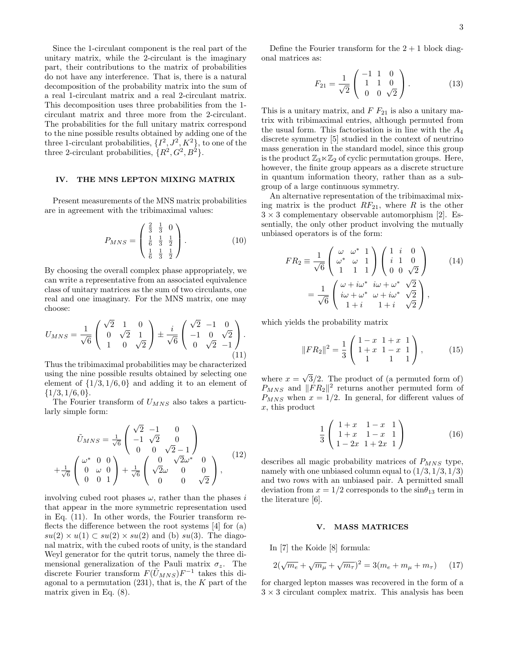Since the 1-circulant component is the real part of the unitary matrix, while the 2-circulant is the imaginary part, their contributions to the matrix of probabilities do not have any interference. That is, there is a natural decomposition of the probability matrix into the sum of a real 1-circulant matrix and a real 2-circulant matrix. This decomposition uses three probabilities from the 1 circulant matrix and three more from the 2-circulant. The probabilities for the full unitary matrix correspond to the nine possible results obtained by adding one of the three 1-circulant probabilities,  $\{I^2, J^2, K^2\}$ , to one of the three 2-circulant probabilities,  $\{R^2, G^2, B^2\}.$ 

## IV. THE MNS LEPTON MIXING MATRIX

Present measurements of the MNS matrix probabilities are in agreement with the tribimaximal values:

$$
P_{MNS} = \begin{pmatrix} \frac{2}{3} & \frac{1}{3} & 0 \\ \frac{1}{6} & \frac{1}{3} & \frac{1}{2} \\ \frac{1}{6} & \frac{1}{3} & \frac{1}{2} \end{pmatrix} . \tag{10}
$$

By choosing the overall complex phase appropriately, we can write a representative from an associated equivalence class of unitary matrices as the sum of two circulants, one real and one imaginary. For the MNS matrix, one may choose:

$$
U_{MNS} = \frac{1}{\sqrt{6}} \begin{pmatrix} \sqrt{2} & 1 & 0 \\ 0 & \sqrt{2} & 1 \\ 1 & 0 & \sqrt{2} \end{pmatrix} \pm \frac{i}{\sqrt{6}} \begin{pmatrix} \sqrt{2} & -1 & 0 \\ -1 & 0 & \sqrt{2} \\ 0 & \sqrt{2} & -1 \end{pmatrix}.
$$
\n(11)

Thus the tribimaximal probabilities may be characterized using the nine possible results obtained by selecting one element of  $\{1/3, 1/6, 0\}$  and adding it to an element of  $\{1/3, 1/6, 0\}.$ 

The Fourier transform of  $U_{MNS}$  also takes a particularly simple form:

$$
\tilde{U}_{MNS} = \frac{1}{\sqrt{6}} \begin{pmatrix} \sqrt{2} & -1 & 0 \\ -1 & \sqrt{2} & 0 \\ 0 & 0 & \sqrt{2} - 1 \end{pmatrix}
$$
  
 
$$
+ \frac{1}{\sqrt{6}} \begin{pmatrix} \omega^* & 0 & 0 \\ 0 & \omega & 0 \\ 0 & 0 & 1 \end{pmatrix} + \frac{1}{\sqrt{6}} \begin{pmatrix} 0 & \sqrt{2}\omega^* & 0 \\ \sqrt{2}\omega & 0 & 0 \\ 0 & 0 & \sqrt{2} \end{pmatrix},
$$
 (12)

involving cubed root phases  $\omega$ , rather than the phases i that appear in the more symmetric representation used in Eq. (11). In other words, the Fourier transform reflects the difference between the root systems [4] for (a)  $su(2) \times u(1) \subset su(2) \times su(2)$  and (b)  $su(3)$ . The diagonal matrix, with the cubed roots of unity, is the standard Weyl generator for the qutrit torus, namely the three dimensional generalization of the Pauli matrix  $\sigma_z$ . The discrete Fourier transform  $F(\tilde{U}_{MNS})F^{-1}$  takes this diagonal to a permutation  $(231)$ , that is, the K part of the matrix given in Eq. (8).

Define the Fourier transform for the  $2 + 1$  block diagonal matrices as:

$$
F_{21} = \frac{1}{\sqrt{2}} \begin{pmatrix} -1 & 1 & 0 \\ 1 & 1 & 0 \\ 0 & 0 & \sqrt{2} \end{pmatrix} . \tag{13}
$$

This is a unitary matrix, and  $F F_{21}$  is also a unitary matrix with tribimaximal entries, although permuted from the usual form. This factorisation is in line with the  $A_4$ discrete symmetry [5] studied in the context of neutrino mass generation in the standard model, since this group is the product  $\mathbb{Z}_3 \ltimes \mathbb{Z}_2$  of cyclic permutation groups. Here, however, the finite group appears as a discrete structure in quantum information theory, rather than as a subgroup of a large continuous symmetry.

An alternative representation of the tribimaximal mixing matrix is the product  $RF_{21}$ , where R is the other  $3 \times 3$  complementary observable automorphism [2]. Essentially, the only other product involving the mutually unbiased operators is of the form:

$$
FR_2 \equiv \frac{1}{\sqrt{6}} \begin{pmatrix} \omega & \omega^* & 1 \\ \omega^* & \omega & 1 \\ 1 & 1 & 1 \end{pmatrix} \begin{pmatrix} 1 & i & 0 \\ i & 1 & 0 \\ 0 & 0 & \sqrt{2} \end{pmatrix}
$$
 (14)  
= 
$$
\frac{1}{\sqrt{6}} \begin{pmatrix} \omega + i\omega^* & i\omega + \omega^* & \sqrt{2} \\ i\omega + \omega^* & \omega + i\omega^* & \sqrt{2} \\ 1 + i & 1 + i & \sqrt{2} \end{pmatrix},
$$

which yields the probability matrix

$$
||FR_2||^2 = \frac{1}{3} \begin{pmatrix} 1-x & 1+x & 1 \\ 1+x & 1-x & 1 \\ 1 & 1 & 1 \end{pmatrix},
$$
 (15)

where  $x =$ √ 3/2. The product of (a permuted form of)  $P_{MNS}$  and  $\Vert FR_2 \Vert^2$  returns another permuted form of  $P_{MNS}$  when  $x = 1/2$ . In general, for different values of x, this product

$$
\frac{1}{3} \left( \begin{array}{ccc} 1+x & 1-x & 1 \\ 1+x & 1-x & 1 \\ 1-2x & 1+2x & 1 \end{array} \right) \tag{16}
$$

describes all magic probability matrices of  $P_{MNS}$  type, namely with one unbiased column equal to  $(1/3, 1/3, 1/3)$ and two rows with an unbiased pair. A permitted small deviation from  $x = 1/2$  corresponds to the  $\sin\theta_{13}$  term in the literature [6].

# V. MASS MATRICES

In [7] the Koide [8] formula:

$$
2(\sqrt{m_e} + \sqrt{m_\mu} + \sqrt{m_\tau})^2 = 3(m_e + m_\mu + m_\tau) \quad (17)
$$

for charged lepton masses was recovered in the form of a  $3 \times 3$  circulant complex matrix. This analysis has been